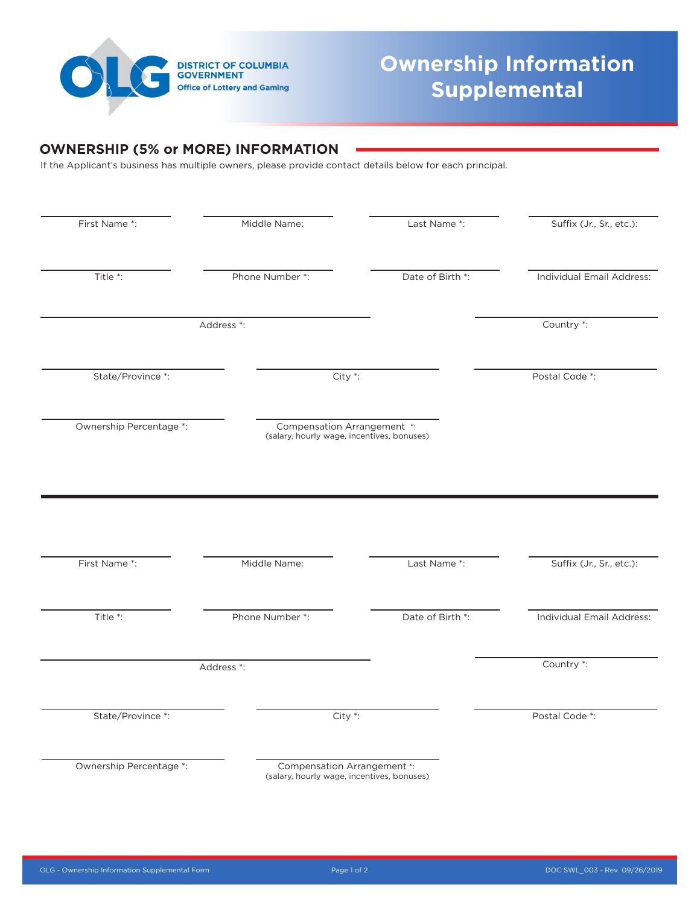

## **Ownership Information Supplemental**

## **OWNERSHIP (5% or MORE) INFORMATION**

If the Applicant's business has multiple owners, please provide contact details below for each principal.

| First Name *:           | Middle Name:                                                              | Last Name *:     | Suffix (Jr., Sr., etc.):                                                |
|-------------------------|---------------------------------------------------------------------------|------------------|-------------------------------------------------------------------------|
| Title *:                | Phone Number *:                                                           | Date of Birth *: | Individual Email Address:                                               |
|                         | Address *:                                                                |                  | Country *:                                                              |
| State/Province *:       | City *:                                                                   |                  | Postal Code *:                                                          |
| Ownership Percentage *: | Compensation Arrangement *:<br>(salary, hourly wage, incentives, bonuses) |                  |                                                                         |
|                         |                                                                           |                  |                                                                         |
|                         |                                                                           |                  |                                                                         |
| First Name *:           | Middle Name:                                                              | Last Name *:     |                                                                         |
| Title *:                | Phone Number *:                                                           | Date of Birth *: |                                                                         |
|                         | Address *:                                                                |                  | Country *:                                                              |
| State/Province *:       | City *:                                                                   |                  | Suffix (Jr., Sr., etc.):<br>Individual Email Address:<br>Postal Code *: |